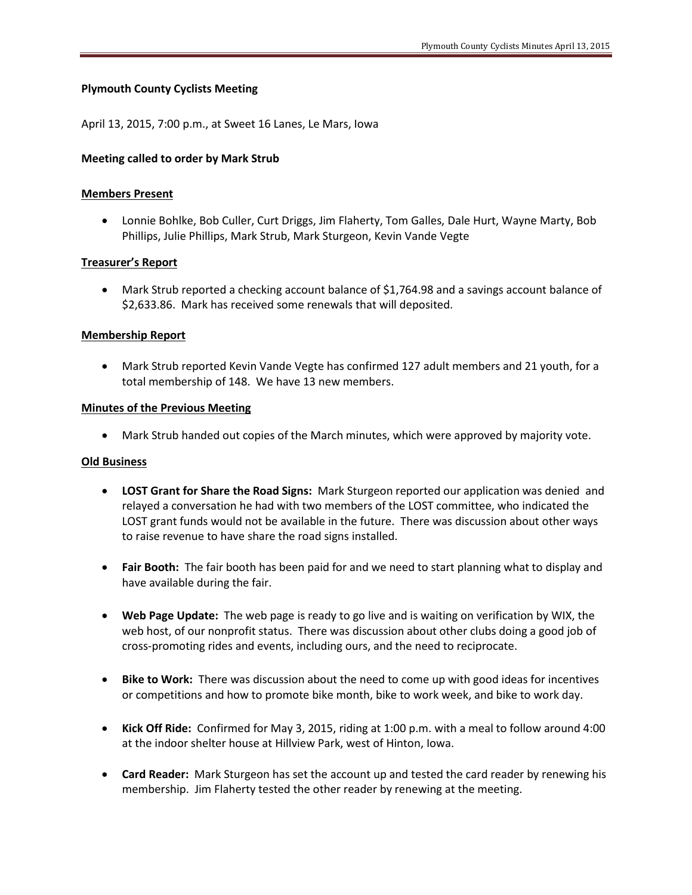# **Plymouth County Cyclists Meeting**

April 13, 2015, 7:00 p.m., at Sweet 16 Lanes, Le Mars, Iowa

### **Meeting called to order by Mark Strub**

### **Members Present**

 Lonnie Bohlke, Bob Culler, Curt Driggs, Jim Flaherty, Tom Galles, Dale Hurt, Wayne Marty, Bob Phillips, Julie Phillips, Mark Strub, Mark Sturgeon, Kevin Vande Vegte

# **Treasurer's Report**

 Mark Strub reported a checking account balance of \$1,764.98 and a savings account balance of \$2,633.86. Mark has received some renewals that will deposited.

# **Membership Report**

 Mark Strub reported Kevin Vande Vegte has confirmed 127 adult members and 21 youth, for a total membership of 148. We have 13 new members.

### **Minutes of the Previous Meeting**

Mark Strub handed out copies of the March minutes, which were approved by majority vote.

### **Old Business**

- **LOST Grant for Share the Road Signs:** Mark Sturgeon reported our application was denied and relayed a conversation he had with two members of the LOST committee, who indicated the LOST grant funds would not be available in the future. There was discussion about other ways to raise revenue to have share the road signs installed.
- **Fair Booth:** The fair booth has been paid for and we need to start planning what to display and have available during the fair.
- **Web Page Update:** The web page is ready to go live and is waiting on verification by WIX, the web host, of our nonprofit status. There was discussion about other clubs doing a good job of cross-promoting rides and events, including ours, and the need to reciprocate.
- **Bike to Work:** There was discussion about the need to come up with good ideas for incentives or competitions and how to promote bike month, bike to work week, and bike to work day.
- **Kick Off Ride:** Confirmed for May 3, 2015, riding at 1:00 p.m. with a meal to follow around 4:00 at the indoor shelter house at Hillview Park, west of Hinton, Iowa.
- **Card Reader:** Mark Sturgeon has set the account up and tested the card reader by renewing his membership. Jim Flaherty tested the other reader by renewing at the meeting.